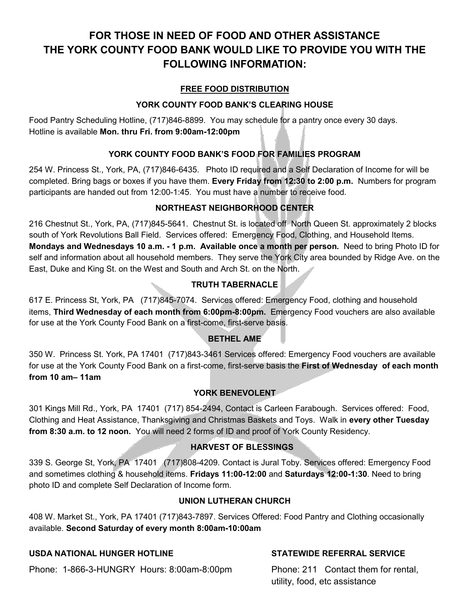## **FOR THOSE IN NEED OF FOOD AND OTHER ASSISTANCE THE YORK COUNTY FOOD BANK WOULD LIKE TO PROVIDE YOU WITH THE FOLLOWING INFORMATION:**

#### **FREE FOOD DISTRIBUTION**

#### **YORK COUNTY FOOD BANK'S CLEARING HOUSE**

Food Pantry Scheduling Hotline, (717)846-8899. You may schedule for a pantry once every 30 days. Hotline is available **Mon. thru Fri. from 9:00am-12:00pm**

### **YORK COUNTY FOOD BANK'S FOOD FOR FAMILIES PROGRAM**

254 W. Princess St., York, PA, (717)846-6435. Photo ID required and a Self Declaration of Income for will be completed. Bring bags or boxes if you have them. **Every Friday from 12:30 to 2:00 p.m.** Numbers for program participants are handed out from 12:00-1:45. You must have a number to receive food.

#### **NORTHEAST NEIGHBORHOOD CENTER**

216 Chestnut St., York, PA, (717)845-5641. Chestnut St. is located off North Queen St. approximately 2 blocks south of York Revolutions Ball Field. Services offered: Emergency Food, Clothing, and Household Items. **Mondays and Wednesdays 10 a.m. - 1 p.m. Available once a month per person.** Need to bring Photo ID for self and information about all household members. They serve the York City area bounded by Ridge Ave. on the East, Duke and King St. on the West and South and Arch St. on the North.

#### **TRUTH TABERNACLE**

617 E. Princess St, York, PA (717)845-7074. Services offered: Emergency Food, clothing and household items, **Third Wednesday of each month from 6:00pm-8:00pm.** Emergency Food vouchers are also available for use at the York County Food Bank on a first-come, first-serve basis.

#### **BETHEL AME**

350 W. Princess St. York, PA 17401 (717)843-3461 Services offered: Emergency Food vouchers are available for use at the York County Food Bank on a first-come, first-serve basis the **First of Wednesday of each month from 10 am– 11am** 

#### **YORK BENEVOLENT**

301 Kings Mill Rd., York, PA 17401 (717) 854-2494, Contact is Carleen Farabough. Services offered: Food, Clothing and Heat Assistance, Thanksgiving and Christmas Baskets and Toys. Walk in **every other Tuesday from 8:30 a.m. to 12 noon.** You will need 2 forms of ID and proof of York County Residency.

### **HARVEST OF BLESSINGS**

339 S. George St, York, PA 17401 (717)808-4209. Contact is Jural Toby. Services offered: Emergency Food and sometimes clothing & household items. **Fridays 11:00-12:00** and **Saturdays 12:00-1:30**. Need to bring photo ID and complete Self Declaration of Income form.

#### **UNION LUTHERAN CHURCH**

408 W. Market St., York, PA 17401 (717)843-7897. Services Offered: Food Pantry and Clothing occasionally available. **Second Saturday of every month 8:00am-10:00am**

#### **USDA NATIONAL HUNGER HOTLINE STATEWIDE REFERRAL SERVICE**

Phone: 1-866-3-HUNGRY Hours: 8:00am-8:00pm Phone: 211 Contact them for rental,

utility, food, etc assistance